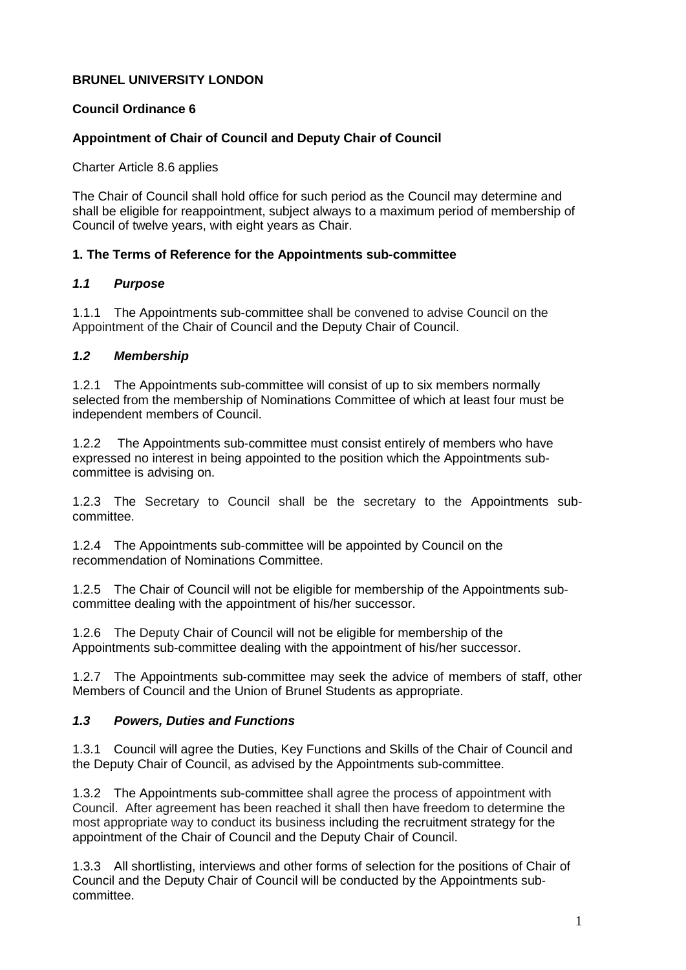## **BRUNEL UNIVERSITY LONDON**

## **Council Ordinance 6**

## **Appointment of Chair of Council and Deputy Chair of Council**

Charter Article 8.6 applies

The Chair of Council shall hold office for such period as the Council may determine and shall be eligible for reappointment, subject always to a maximum period of membership of Council of twelve years, with eight years as Chair.

#### **1. The Terms of Reference for the Appointments sub-committee**

#### *1.1 Purpose*

1.1.1 The Appointments sub-committee shall be convened to advise Council on the Appointment of the Chair of Council and the Deputy Chair of Council.

#### *1.2 Membership*

1.2.1 The Appointments sub-committee will consist of up to six members normally selected from the membership of Nominations Committee of which at least four must be independent members of Council.

1.2.2 The Appointments sub-committee must consist entirely of members who have expressed no interest in being appointed to the position which the Appointments subcommittee is advising on.

1.2.3 The Secretary to Council shall be the secretary to the Appointments subcommittee.

1.2.4 The Appointments sub-committee will be appointed by Council on the recommendation of Nominations Committee.

1.2.5 The Chair of Council will not be eligible for membership of the Appointments subcommittee dealing with the appointment of his/her successor.

1.2.6 The Deputy Chair of Council will not be eligible for membership of the Appointments sub-committee dealing with the appointment of his/her successor.

1.2.7 The Appointments sub-committee may seek the advice of members of staff, other Members of Council and the Union of Brunel Students as appropriate.

## *1.3 Powers, Duties and Functions*

1.3.1 Council will agree the Duties, Key Functions and Skills of the Chair of Council and the Deputy Chair of Council, as advised by the Appointments sub-committee.

1.3.2 The Appointments sub-committee shall agree the process of appointment with Council. After agreement has been reached it shall then have freedom to determine the most appropriate way to conduct its business including the recruitment strategy for the appointment of the Chair of Council and the Deputy Chair of Council.

1.3.3 All shortlisting, interviews and other forms of selection for the positions of Chair of Council and the Deputy Chair of Council will be conducted by the Appointments subcommittee.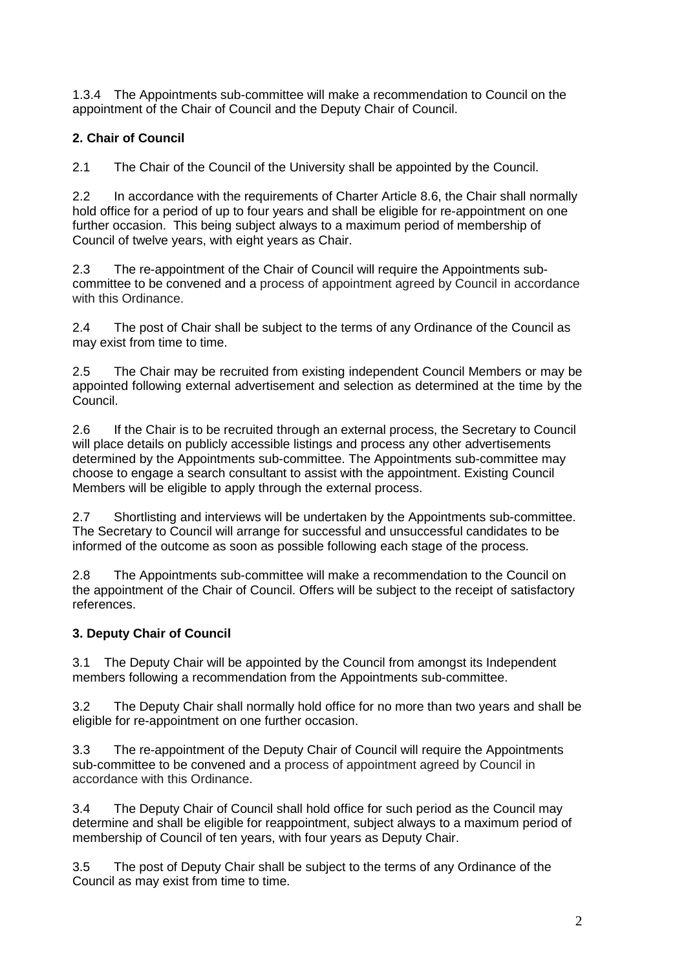1.3.4 The Appointments sub-committee will make a recommendation to Council on the appointment of the Chair of Council and the Deputy Chair of Council.

# **2. Chair of Council**

2.1 The Chair of the Council of the University shall be appointed by the Council.

2.2 In accordance with the requirements of Charter Article 8.6, the Chair shall normally hold office for a period of up to four years and shall be eligible for re-appointment on one further occasion. This being subject always to a maximum period of membership of Council of twelve years, with eight years as Chair.

2.3 The re-appointment of the Chair of Council will require the Appointments subcommittee to be convened and a process of appointment agreed by Council in accordance with this Ordinance.

2.4 The post of Chair shall be subject to the terms of any Ordinance of the Council as may exist from time to time.

2.5 The Chair may be recruited from existing independent Council Members or may be appointed following external advertisement and selection as determined at the time by the Council.

2.6 If the Chair is to be recruited through an external process, the Secretary to Council will place details on publicly accessible listings and process any other advertisements determined by the Appointments sub-committee. The Appointments sub-committee may choose to engage a search consultant to assist with the appointment. Existing Council Members will be eligible to apply through the external process.

2.7 Shortlisting and interviews will be undertaken by the Appointments sub-committee. The Secretary to Council will arrange for successful and unsuccessful candidates to be informed of the outcome as soon as possible following each stage of the process.

2.8 The Appointments sub-committee will make a recommendation to the Council on the appointment of the Chair of Council. Offers will be subject to the receipt of satisfactory references.

## **3. Deputy Chair of Council**

3.1 The Deputy Chair will be appointed by the Council from amongst its Independent members following a recommendation from the Appointments sub-committee.

3.2 The Deputy Chair shall normally hold office for no more than two years and shall be eligible for re-appointment on one further occasion.

3.3 The re-appointment of the Deputy Chair of Council will require the Appointments sub-committee to be convened and a process of appointment agreed by Council in accordance with this Ordinance.

3.4 The Deputy Chair of Council shall hold office for such period as the Council may determine and shall be eligible for reappointment, subject always to a maximum period of membership of Council of ten years, with four years as Deputy Chair.

3.5 The post of Deputy Chair shall be subject to the terms of any Ordinance of the Council as may exist from time to time.